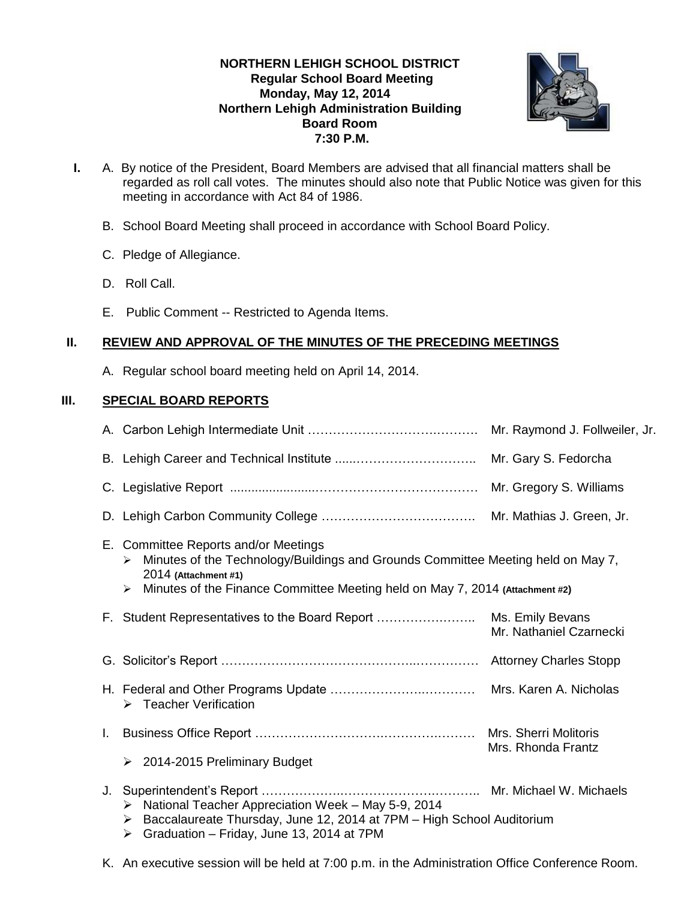# **NORTHERN LEHIGH SCHOOL DISTRICT Regular School Board Meeting Monday, May 12, 2014 Northern Lehigh Administration Building Board Room 7:30 P.M.**



- **I.** A. By notice of the President, Board Members are advised that all financial matters shall be regarded as roll call votes. The minutes should also note that Public Notice was given for this meeting in accordance with Act 84 of 1986.
	- B. School Board Meeting shall proceed in accordance with School Board Policy.
	- C. Pledge of Allegiance.
	- D. Roll Call.
	- E. Public Comment -- Restricted to Agenda Items.

# **II. REVIEW AND APPROVAL OF THE MINUTES OF THE PRECEDING MEETINGS**

A. Regular school board meeting held on April 14, 2014.

# **III. SPECIAL BOARD REPORTS**

|    |    |                                                                                                                                                                                                                                            | Mr. Raymond J. Follweiler, Jr. |
|----|----|--------------------------------------------------------------------------------------------------------------------------------------------------------------------------------------------------------------------------------------------|--------------------------------|
|    |    |                                                                                                                                                                                                                                            |                                |
|    |    |                                                                                                                                                                                                                                            |                                |
|    |    |                                                                                                                                                                                                                                            |                                |
|    |    | E. Committee Reports and/or Meetings<br>Minutes of the Technology/Buildings and Grounds Committee Meeting held on May 7,<br>≻<br>2014 (Attachment #1)<br>Minutes of the Finance Committee Meeting held on May 7, 2014 (Attachment #2)<br>➤ |                                |
|    |    |                                                                                                                                                                                                                                            | Mr. Nathaniel Czarnecki        |
|    |    |                                                                                                                                                                                                                                            |                                |
|    |    | $\triangleright$ Teacher Verification                                                                                                                                                                                                      |                                |
| L. |    |                                                                                                                                                                                                                                            | Mrs. Sherri Molitoris          |
|    |    | $\geq$ 2014-2015 Preliminary Budget                                                                                                                                                                                                        | Mrs. Rhonda Frantz             |
|    | J. | $\triangleright$ National Teacher Appreciation Week - May 5-9, 2014<br>Baccalaureate Thursday, June 12, 2014 at 7PM - High School Auditorium<br>➤<br>Graduation - Friday, June 13, 2014 at 7PM<br>➤                                        |                                |

K. An executive session will be held at 7:00 p.m. in the Administration Office Conference Room.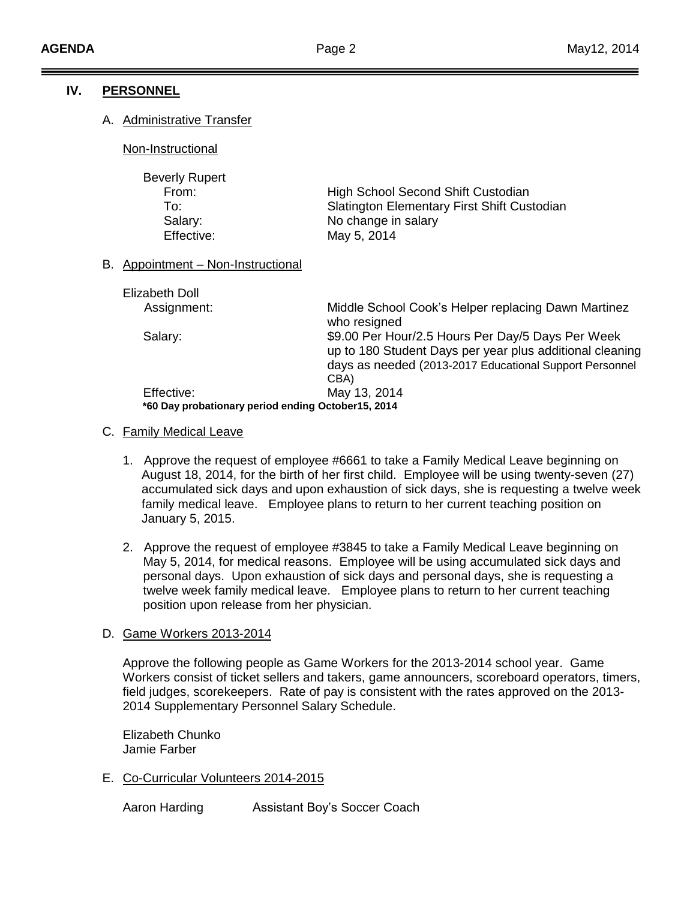#### **IV. PERSONNEL**

#### A. Administrative Transfer

Non-Instructional

| High School Second Shift Custodian          |
|---------------------------------------------|
| Slatington Elementary First Shift Custodian |
| No change in salary                         |
| May 5, 2014                                 |
|                                             |

#### B. Appointment – Non-Instructional

| <b>Elizabeth Doll</b> |                                                                                                                                                                                  |  |  |  |
|-----------------------|----------------------------------------------------------------------------------------------------------------------------------------------------------------------------------|--|--|--|
| Assignment:           | Middle School Cook's Helper replacing Dawn Martinez<br>who resigned                                                                                                              |  |  |  |
| Salary:               | \$9.00 Per Hour/2.5 Hours Per Day/5 Days Per Week<br>up to 180 Student Days per year plus additional cleaning<br>days as needed (2013-2017 Educational Support Personnel<br>CBA) |  |  |  |
| Effective:            | May 13, 2014                                                                                                                                                                     |  |  |  |
|                       | *60 Day probationary period ending October15, 2014                                                                                                                               |  |  |  |

#### C. Family Medical Leave

- 1. Approve the request of employee #6661 to take a Family Medical Leave beginning on August 18, 2014, for the birth of her first child. Employee will be using twenty-seven (27) accumulated sick days and upon exhaustion of sick days, she is requesting a twelve week family medical leave. Employee plans to return to her current teaching position on January 5, 2015.
- 2. Approve the request of employee #3845 to take a Family Medical Leave beginning on May 5, 2014, for medical reasons. Employee will be using accumulated sick days and personal days. Upon exhaustion of sick days and personal days, she is requesting a twelve week family medical leave. Employee plans to return to her current teaching position upon release from her physician.

#### D. Game Workers 2013-2014

Approve the following people as Game Workers for the 2013-2014 school year. Game Workers consist of ticket sellers and takers, game announcers, scoreboard operators, timers, field judges, scorekeepers. Rate of pay is consistent with the rates approved on the 2013- 2014 Supplementary Personnel Salary Schedule.

Elizabeth Chunko Jamie Farber

#### E. Co-Curricular Volunteers 2014-2015

Aaron Harding **Assistant Boy's Soccer Coach**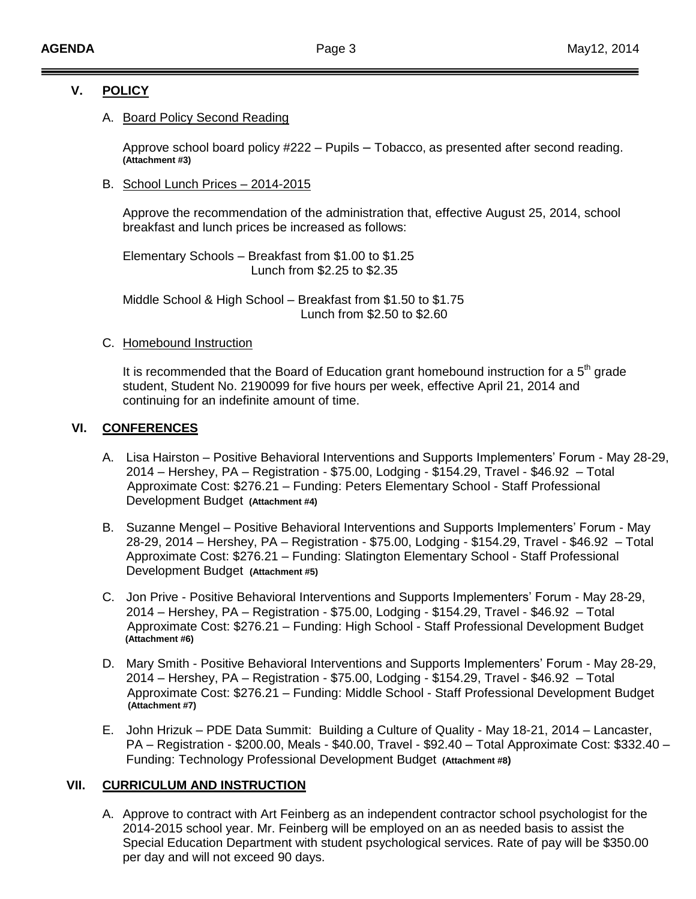# **V. POLICY**

# A. Board Policy Second Reading

Approve school board policy #222 – Pupils – Tobacco, as presented after second reading. **(Attachment #3)**

B. School Lunch Prices – 2014-2015

Approve the recommendation of the administration that, effective August 25, 2014, school breakfast and lunch prices be increased as follows:

Elementary Schools – Breakfast from \$1.00 to \$1.25 Lunch from \$2.25 to \$2.35

Middle School & High School – Breakfast from \$1.50 to \$1.75 Lunch from \$2.50 to \$2.60

# C. Homebound Instruction

It is recommended that the Board of Education grant homebound instruction for a  $5<sup>th</sup>$  grade student, Student No. 2190099 for five hours per week, effective April 21, 2014 and continuing for an indefinite amount of time.

#### **VI. CONFERENCES**

- A. Lisa Hairston Positive Behavioral Interventions and Supports Implementers' Forum May 28-29, 2014 – Hershey, PA – Registration - \$75.00, Lodging - \$154.29, Travel - \$46.92 – Total Approximate Cost: \$276.21 – Funding: Peters Elementary School - Staff Professional Development Budget **(Attachment #4)**
- B. Suzanne Mengel Positive Behavioral Interventions and Supports Implementers' Forum May 28-29, 2014 – Hershey, PA – Registration - \$75.00, Lodging - \$154.29, Travel - \$46.92 – Total Approximate Cost: \$276.21 – Funding: Slatington Elementary School - Staff Professional Development Budget **(Attachment #5)**
- C. Jon Prive Positive Behavioral Interventions and Supports Implementers' Forum May 28-29, 2014 – Hershey, PA – Registration - \$75.00, Lodging - \$154.29, Travel - \$46.92 – Total Approximate Cost: \$276.21 – Funding: High School - Staff Professional Development Budget  **(Attachment #6)**
- D. Mary Smith Positive Behavioral Interventions and Supports Implementers' Forum May 28-29, 2014 – Hershey, PA – Registration - \$75.00, Lodging - \$154.29, Travel - \$46.92 – Total Approximate Cost: \$276.21 – Funding: Middle School - Staff Professional Development Budget  **(Attachment #7)**
- E. John Hrizuk PDE Data Summit: Building a Culture of Quality May 18-21, 2014 Lancaster, PA – Registration - \$200.00, Meals - \$40.00, Travel - \$92.40 – Total Approximate Cost: \$332.40 – Funding: Technology Professional Development Budget **(Attachment #8)**

# **VII. CURRICULUM AND INSTRUCTION**

A. Approve to contract with Art Feinberg as an independent contractor school psychologist for the 2014-2015 school year. Mr. Feinberg will be employed on an as needed basis to assist the Special Education Department with student psychological services. Rate of pay will be \$350.00 per day and will not exceed 90 days.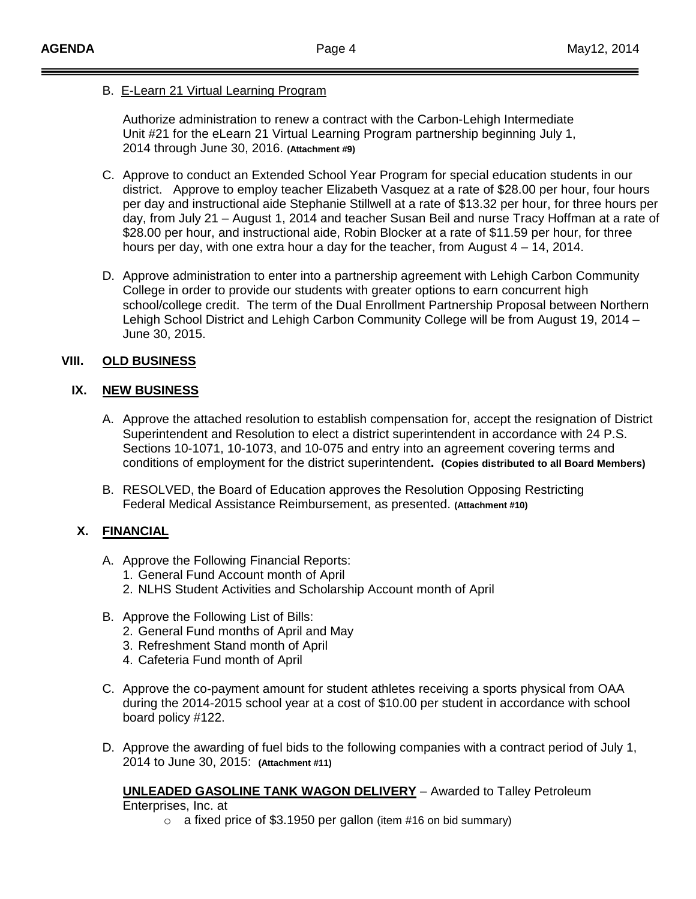## B. E-Learn 21 Virtual Learning Program

Authorize administration to renew a contract with the Carbon-Lehigh Intermediate Unit #21 for the eLearn 21 Virtual Learning Program partnership beginning July 1, 2014 through June 30, 2016. **(Attachment #9)**

- C. Approve to conduct an Extended School Year Program for special education students in our district. Approve to employ teacher Elizabeth Vasquez at a rate of \$28.00 per hour, four hours per day and instructional aide Stephanie Stillwell at a rate of \$13.32 per hour, for three hours per day, from July 21 – August 1, 2014 and teacher Susan Beil and nurse Tracy Hoffman at a rate of \$28.00 per hour, and instructional aide, Robin Blocker at a rate of \$11.59 per hour, for three hours per day, with one extra hour a day for the teacher, from August 4 – 14, 2014.
- D. Approve administration to enter into a partnership agreement with Lehigh Carbon Community College in order to provide our students with greater options to earn concurrent high school/college credit. The term of the Dual Enrollment Partnership Proposal between Northern Lehigh School District and Lehigh Carbon Community College will be from August 19, 2014 – June 30, 2015.

# **VIII. OLD BUSINESS**

#### **IX. NEW BUSINESS**

- A. Approve the attached resolution to establish compensation for, accept the resignation of District Superintendent and Resolution to elect a district superintendent in accordance with 24 P.S. Sections 10-1071, 10-1073, and 10-075 and entry into an agreement covering terms and conditions of employment for the district superintendent**. (Copies distributed to all Board Members)**
- B. RESOLVED, the Board of Education approves the Resolution Opposing Restricting Federal Medical Assistance Reimbursement, as presented. **(Attachment #10)**

# **X. FINANCIAL**

- A. Approve the Following Financial Reports:
	- 1. General Fund Account month of April
	- 2. NLHS Student Activities and Scholarship Account month of April
- B. Approve the Following List of Bills:
	- 2. General Fund months of April and May
	- 3. Refreshment Stand month of April
	- 4. Cafeteria Fund month of April
- C. Approve the co-payment amount for student athletes receiving a sports physical from OAA during the 2014-2015 school year at a cost of \$10.00 per student in accordance with school board policy #122.
- D. Approve the awarding of fuel bids to the following companies with a contract period of July 1, 2014 to June 30, 2015: **(Attachment #11)**

# **UNLEADED GASOLINE TANK WAGON DELIVERY** – Awarded to Talley Petroleum

Enterprises, Inc. at

 $\circ$  a fixed price of \$3.1950 per gallon (item #16 on bid summary)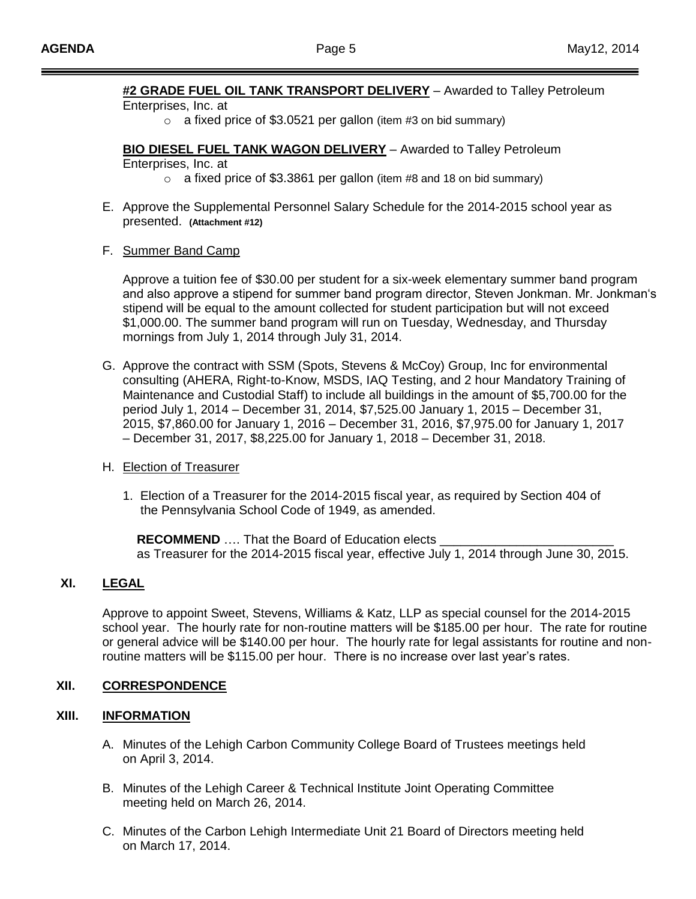# **#2 GRADE FUEL OIL TANK TRANSPORT DELIVERY** – Awarded to Talley Petroleum

#### Enterprises, Inc. at

o a fixed price of \$3.0521 per gallon (item #3 on bid summary)

# **BIO DIESEL FUEL TANK WAGON DELIVERY** – Awarded to Talley Petroleum

Enterprises, Inc. at

 $\circ$  a fixed price of \$3.3861 per gallon (item #8 and 18 on bid summary)

- E. Approve the Supplemental Personnel Salary Schedule for the 2014-2015 school year as presented. **(Attachment #12)**
- F. Summer Band Camp

Approve a tuition fee of \$30.00 per student for a six-week elementary summer band program and also approve a stipend for summer band program director, Steven Jonkman. Mr. Jonkman's stipend will be equal to the amount collected for student participation but will not exceed \$1,000.00. The summer band program will run on Tuesday, Wednesday, and Thursday mornings from July 1, 2014 through July 31, 2014.

G. Approve the contract with SSM (Spots, Stevens & McCoy) Group, Inc for environmental consulting (AHERA, Right-to-Know, MSDS, IAQ Testing, and 2 hour Mandatory Training of Maintenance and Custodial Staff) to include all buildings in the amount of \$5,700.00 for the period July 1, 2014 – December 31, 2014, \$7,525.00 January 1, 2015 – December 31, 2015, \$7,860.00 for January 1, 2016 – December 31, 2016, \$7,975.00 for January 1, 2017 – December 31, 2017, \$8,225.00 for January 1, 2018 – December 31, 2018.

# H. Election of Treasurer

1. Election of a Treasurer for the 2014-2015 fiscal year, as required by Section 404 of the Pennsylvania School Code of 1949, as amended.

**RECOMMEND** .... That the Board of Education elects \_ as Treasurer for the 2014-2015 fiscal year, effective July 1, 2014 through June 30, 2015.

# **XI. LEGAL**

Approve to appoint Sweet, Stevens, Williams & Katz, LLP as special counsel for the 2014-2015 school year. The hourly rate for non-routine matters will be \$185.00 per hour. The rate for routine or general advice will be \$140.00 per hour. The hourly rate for legal assistants for routine and nonroutine matters will be \$115.00 per hour. There is no increase over last year's rates.

# **XII. CORRESPONDENCE**

# **XIII. INFORMATION**

- A. Minutes of the Lehigh Carbon Community College Board of Trustees meetings held on April 3, 2014.
- B. Minutes of the Lehigh Career & Technical Institute Joint Operating Committee meeting held on March 26, 2014.
- C. Minutes of the Carbon Lehigh Intermediate Unit 21 Board of Directors meeting held on March 17, 2014.